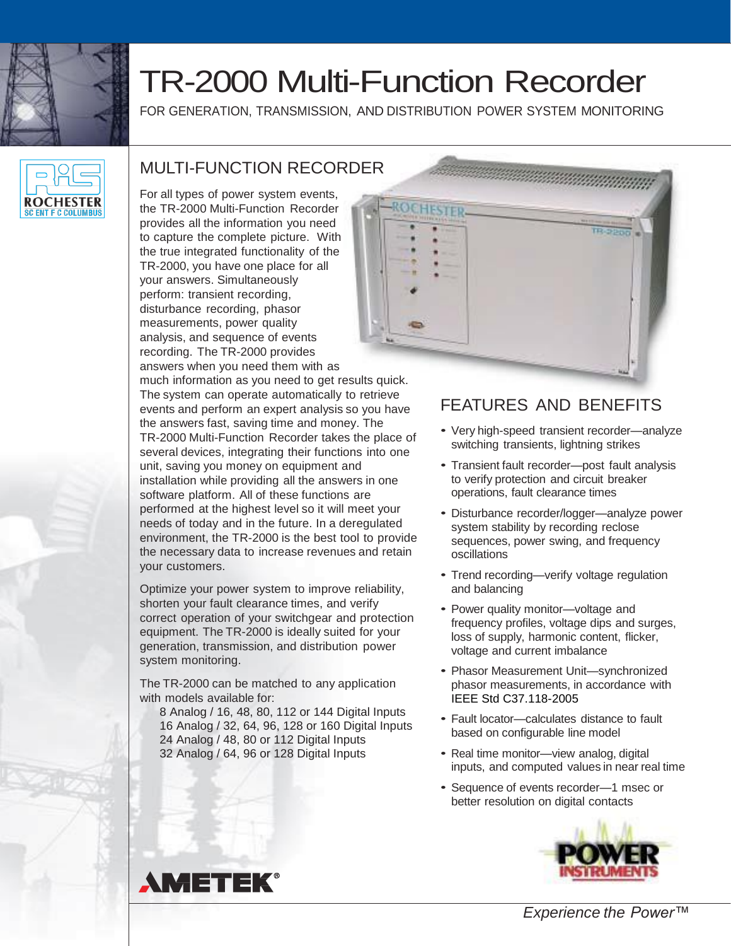

# TR-2000 Multi-Function Recorder

FOR GENERATION, TRANSMISSION, AND DISTRIBUTION POWER SYSTEM MONITORING



# MULTI-FUNCTION RECORDER

For all types of power system events, the TR-2000 Multi-Function Recorder provides all the information you need to capture the complete picture. With the true integrated functionality of the TR-2000, you have one place for all your answers. Simultaneously perform: transient recording, disturbance recording, phasor measurements, power quality analysis, and sequence of events recording. The TR-2000 provides answers when you need them with as

much information as you need to get results quick. The system can operate automatically to retrieve events and perform an expert analysis so you have the answers fast, saving time and money. The TR-2000 Multi-Function Recorder takes the place of several devices, integrating their functions into one unit, saving you money on equipment and installation while providing all the answers in one software platform. All of these functions are performed at the highest level so it will meet your needs of today and in the future. In a deregulated environment, the TR-2000 is the best tool to provide the necessary data to increase revenues and retain your customers.

Optimize your power system to improve reliability, shorten your fault clearance times, and verify correct operation of your switchgear and protection equipment. The TR-2000 is ideally suited for your generation, transmission, and distribution power system monitoring.

The TR-2000 can be matched to any application with models available for:

 8 Analog / 16, 48, 80, 112 or 144 Digital Inputs 16 Analog / 32, 64, 96, 128 or 160 Digital Inputs 24 Analog / 48, 80 or 112 Digital Inputs 32 Analog / 64, 96 or 128 Digital Inputs



## FEATURES AND BENEFITS

- Very high-speed transient recorder—analyze switching transients, lightning strikes
- Transient fault recorder—post fault analysis to verify protection and circuit breaker operations, fault clearance times
- Disturbance recorder/logger—analyze power system stability by recording reclose sequences, power swing, and frequency oscillations
- Trend recording—verify voltage regulation and balancing
- Power quality monitor—voltage and frequency profiles, voltage dips and surges, loss of supply, harmonic content, flicker, voltage and current imbalance
- Phasor Measurement Unit—synchronized phasor measurements, in accordance with IEEE Std C37.118-2005
- Fault locator—calculates distance to fault based on configurable line model
- Real time monitor—view analog, digital inputs, and computed values in near real time
- Sequence of events recorder—1 msec or better resolution on digital contacts





*Experience the Power™*